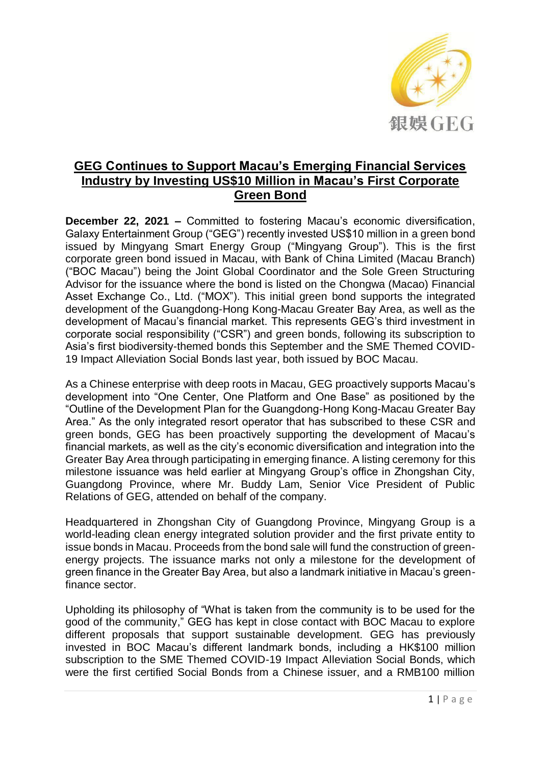

## **GEG Continues to Support Macau's Emerging Financial Services Industry by Investing US\$10 Million in Macau's First Corporate Green Bond**

**December 22, 2021 –** Committed to fostering Macau's economic diversification, Galaxy Entertainment Group ("GEG") recently invested US\$10 million in a green bond issued by Mingyang Smart Energy Group ("Mingyang Group"). This is the first corporate green bond issued in Macau, with Bank of China Limited (Macau Branch) ("BOC Macau") being the Joint Global Coordinator and the Sole Green Structuring Advisor for the issuance where the bond is listed on the Chongwa (Macao) Financial Asset Exchange Co., Ltd. ("MOX"). This initial green bond supports the integrated development of the Guangdong-Hong Kong-Macau Greater Bay Area, as well as the development of Macau's financial market. This represents GEG's third investment in corporate social responsibility ("CSR") and green bonds, following its subscription to Asia's first biodiversity-themed bonds this September and the SME Themed COVID-19 Impact Alleviation Social Bonds last year, both issued by BOC Macau.

As a Chinese enterprise with deep roots in Macau, GEG proactively supports Macau's development into "One Center, One Platform and One Base" as positioned by the "Outline of the Development Plan for the Guangdong-Hong Kong-Macau Greater Bay Area." As the only integrated resort operator that has subscribed to these CSR and green bonds, GEG has been proactively supporting the development of Macau's financial markets, as well as the city's economic diversification and integration into the Greater Bay Area through participating in emerging finance. A listing ceremony for this milestone issuance was held earlier at Mingyang Group's office in Zhongshan City, Guangdong Province, where Mr. Buddy Lam, Senior Vice President of Public Relations of GEG, attended on behalf of the company.

Headquartered in Zhongshan City of Guangdong Province, Mingyang Group is a world-leading clean energy integrated solution provider and the first private entity to issue bonds in Macau. Proceeds from the bond sale will fund the construction of greenenergy projects. The issuance marks not only a milestone for the development of green finance in the Greater Bay Area, but also a landmark initiative in Macau's greenfinance sector.

Upholding its philosophy of "What is taken from the community is to be used for the good of the community," GEG has kept in close contact with BOC Macau to explore different proposals that support sustainable development. GEG has previously invested in BOC Macau's different landmark bonds, including a HK\$100 million subscription to the SME Themed COVID-19 Impact Alleviation Social Bonds, which were the first certified Social Bonds from a Chinese issuer, and a RMB100 million